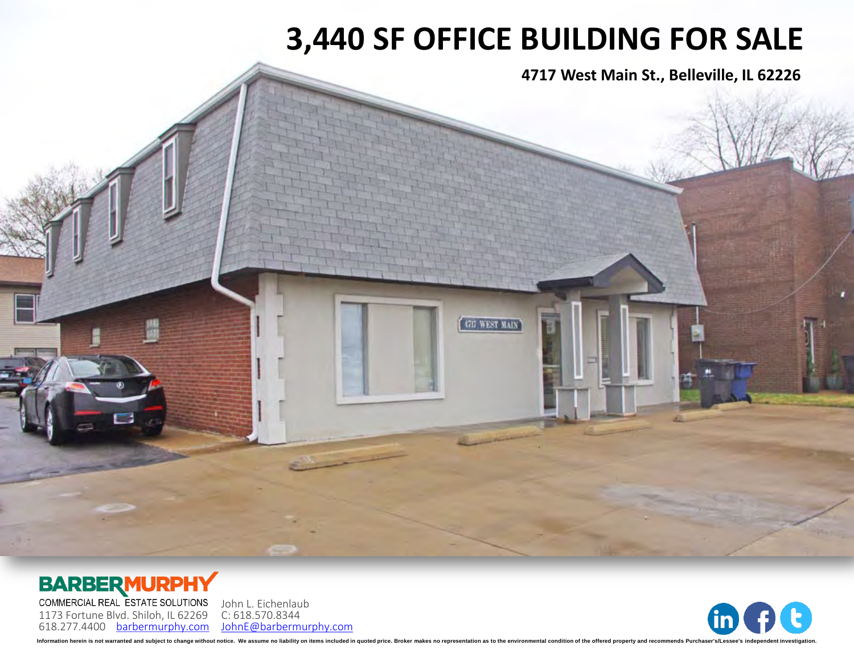# **3,440 SF OFFICE BUILDING FOR SALE**

4717 WEST MAIN

**4717 West Main St., Belleville, IL 62226**

### **BARBERMURPHY**

COMMERCIAL REAL ESTATE SOLUTIONS 1173 Fortune Blvd. Shiloh, IL 62269 618.277.4400 [barbermurphy.com](http://www.barbermurphy.com)

John L. Eichenlaub C: 618.570.8344 [JohnE@barbermurphy.com](mailto:JohnE@barbermurphy.com)



Information herein is not warranted and subject to change without notice. We assume no liability on items included in quoted price. Broker makes no representation as to the environmental condition of the offered property a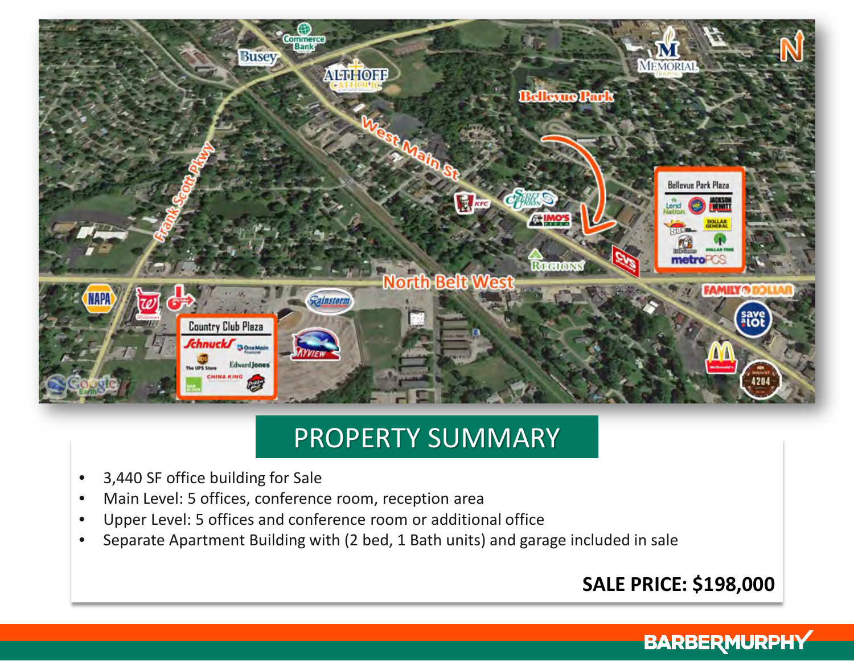

## PROPERTY SUMMARY

- 3,440 SF office building for Sale
- Main Level: 5 offices, conference room, reception area
- Upper Level: 5 offices and conference room or additional office
- Separate Apartment Building with (2 bed, 1 Bath units) and garage included in sale

### **SALE PRICE: \$198,000**

### **BARBERMURPHY**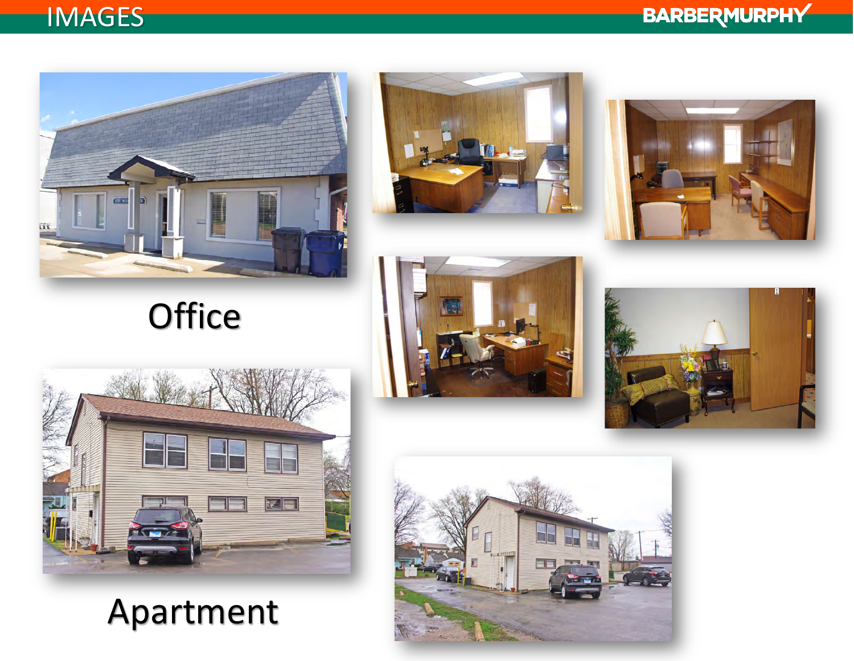## **IMAGES**







Apartment